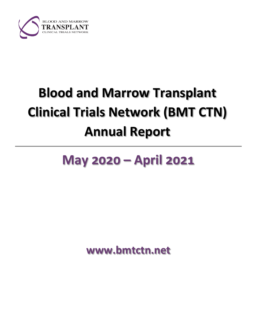

# **Blood and Marrow Transplant Clinical Trials Network (BMT CTN) Annual Report**

## **May 2020 – April 2021**

**www.bmtctn.net**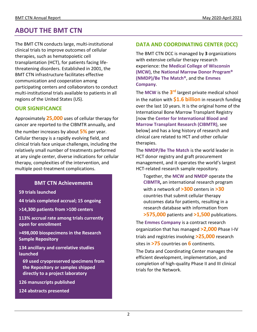### **ABOUT THE BMT CTN**

The BMT CTN conducts large, multi-institutional clinical trials to improve outcomes of cellular therapies, such as hematopoietic cell transplantation (HCT), for patients facing lifethreatening disorders. Established in 2001, the BMT CTN infrastructure facilitates effective communication and cooperation among participating centers and collaborators to conduct multi-institutional trials available to patients in all regions of the United States (US).

### **OUR SIGNIFICANCE**

Approximately **25,000** uses of cellular therapy for cancer are reported to the CIBMTR annually, and the number increases by about **5%** per year. Cellular therapy is a rapidly evolving field, and clinical trials face unique challenges, including the relatively small number of treatments performed at any single center, diverse indications for cellular therapy, complexities of the intervention, and multiple post-treatment complications.

### **BMT CTN Achievements**

**59 trials launched**

**44 trials completed accrual; 15 ongoing**

**>14,300 patients from >100 centers**

**113% accrual rate among trials currently open for enrollment**

**>498,000 biospecimens in the Research Sample Repository** 

**134 ancillary and correlative studies launched**

**69 used cryopreserved specimens from the Repository or samples shipped directly to a project laboratory**

**126 manuscripts published**

**124 abstracts presented**

### **DATA AND COORDINATING CENTER (DCC)**

The BMT CTN DCC is managed by **3** organizations with extensive cellular therapy research experience: the **Medical College of Wisconsin (MCW)**, the **National Marrow Donor Program® (NMDP)/Be The Match®**, and the **Emmes Company**.

The **MCW** is the **3rd** largest private medical school in the nation with **\$1.6 billion** in research funding over the last 10 years. It is the original home of the International Bone Marrow Transplant Registry [now the **Center for International Blood and Marrow Transplant Research (CIBMTR)**, see below] and has a long history of research and clinical care related to HCT and other cellular therapies.

The **NMDP/Be The Match** is the world leader in HCT donor registry and graft procurement management, and it operates the world's largest HCT-related research sample repository.

Together, the **MCW** and **NMDP** operate the **CIBMTR,** an international research program with a network of **>300** centers in **>30** countries that submit cellular therapy outcomes data for patients, resulting in a research database with information from

**>575,000** patients and **>1,500** publications.

The **Emmes Company** is a contract research organization that has managed **>2,000** Phase I-IV trials and registries involving **>25,000** research sites in **>75** countries on **6** continents.

The Data and Coordinating Center manages the efficient development, implementation, and completion of high-quality Phase II and III clinical trials for the Network.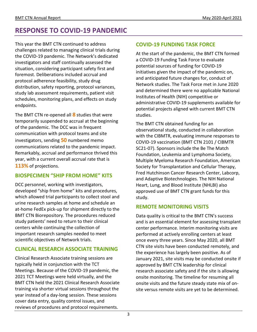### **RESPONSE TO COVID-19 PANDEMIC**

This year the BMT CTN continued to address challenges related to managing clinical trials during the COVID-19 pandemic. The Network's dedicated investigators and staff continually assessed the situation, considering participant safety first and foremost. Deliberations included accrual and protocol adherence feasibility, study drug distribution, safety reporting, protocol variances, study lab assessment requirements, patient visit schedules, monitoring plans, and effects on study endpoints.

The BMT CTN re-opened all **8** studies that were temporarily suspended to accrual at the beginning of the pandemic. The DCC was in frequent communication with protocol teams and site investigators, sending **50** numbered memo communications related to the pandemic impact. Remarkably, accrual and performance thrived this year, with a current overall accrual rate that is **113%** of projections.

### **BIOSPECIMEN "SHIP FROM HOME" KITS**

DCC personnel, working with investigators, developed "ship from home" kits and procedures, which allowed trial participants to collect stool and urine research samples at home and schedule an at-home FedEx pick-up for shipment directly to the BMT CTN Biorepository. The procedures reduced study patients' need to return to their clinical centers while continuing the collection of important research samples needed to meet scientific objectives of Network trials.

### **CLINICAL RESEARCH ASSOCIATE TRAINING**

Clinical Research Associate training sessions are typically held in conjunction with the TCT Meetings. Because of the COVID-19 pandemic, the 2021 TCT Meetings were held virtually, and the BMT CTN held the 2021 Clinical Research Associate training via shorter virtual sessions throughout the year instead of a day-long session. These sessions cover data entry, quality control issues, and reviews of procedures and protocol requirements.

### **COVID-19 FUNDING TASK FORCE**

At the start of the pandemic, the BMT CTN formed a COVID-19 Funding Task Force to evaluate potential sources of funding for COVID-19 initiatives given the impact of the pandemic on, and anticipated future changes for, conduct of Network studies. The Task Force met in June 2020 and determined there were no applicable National Institutes of Health (NIH) competitive or administrative COVID-19 supplements available for potential projects aligned with current BMT CTN studies.

The BMT CTN obtained funding for an observational study, conducted in collaboration with the CIBMTR, evaluating immune responses to COVID-19 vaccination (BMT CTN 2101 / CIBMTR SC21-07). Sponsors include the Be The Match Foundation, Leukemia and Lymphoma Society, Multiple Myeloma Research Foundation, American Society for Transplantation and Cellular Therapy, Fred Hutchinson Cancer Research Center, Labcorp, and Adaptive Biotechnologies. The NIH National Heart, Lung, and Blood Institute (NHLBI) also approved use of BMT CTN grant funds for this study.

### **REMOTE MONITORING VISITS**

Data quality is critical to the BMT CTN's success and is an essential element for assessing transplant center performance. Interim monitoring visits are performed at actively enrolling centers at least once every three years. Since May 2020, all BMT CTN site visits have been conducted remotely, and the experience has largely been positive. As of January 2021, site visits may be conducted onsite if approved by BMT CTN leadership for clinical research associate safety and if the site is allowing onsite monitoring. The timeline for resuming all onsite visits and the future steady state mix of onsite versus remote visits are yet to be determined.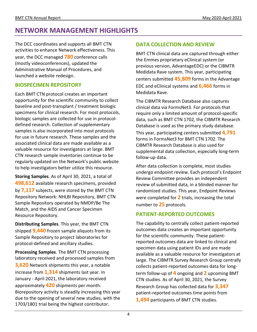### **NETWORK MANAGEMENT HIGHLIGHTS**

The DCC coordinates and supports all BMT CTN activities to enhance Network effectiveness. This year, the DCC managed **780** conference calls (mostly videoconferences), updated the Administrative Manual of Procedures, and launched a website redesign.

### **BIOSPECIMEN REPOSITORY**

Each BMT CTN protocol creates an important opportunity for the scientific community to collect baseline and post-transplant / treatment biologic specimens for clinical research. For most protocols, biologic samples are collected for use in protocoldefined research. Collection of supplementary samples is also incorporated into most protocols for use in future research. These samples and the associated clinical data are made available as a valuable resource for investigators at large. BMT CTN research sample inventories continue to be regularly updated on the Network's public website to help investigators better utilize this resource.

**Storing Samples**. As of April 30, 2021, a total of **498,612** available research specimens, provided by **7,117** subjects, were stored by the BMT CTN Repository Network: NHLBI Repository, BMT CTN Sample Repository operated by NMDP/Be The Match, and the AIDS and Cancer Specimen Resource Repository.

**Distributing Samples**. This year, the BMT CTN shipped **9,440** frozen sample aliquots from its Sample Repository to project laboratories for protocol-defined and ancillary studies.

**Processing Samples**. The BMT CTN processing laboratory received and processed samples from **3,620** Network shipments this year, a notable increase from **1,314** shipments last year. In January - April 2021, the laboratory received approximately **420** shipments per month. Biorepository activity is steadily increasing this year due to the opening of several new studies, with the 1703/1801 trial being the highest contributor.

### **DATA COLLECTION AND REVIEW**

BMT CTN clinical data are captured through either the Emmes proprietary eClinical system (or previous version, AdvantageEDC) or the CIBMTR Medidata Rave system. This year, participating centers submitted **45,809** forms in the Advantage EDC and eClinical systems and **6,466** forms in Medidata Rave.

The CIBMTR Research Database also captures clinical data via FormsNet3. For protocols that require only a limited amount of protocol-specific data, such as BMT CTN 1702, the CIBMTR Research Database is used as the primary study database. This year, participating centers submitted **4,791** forms in FormsNet3 for BMT CTN 1702. The CIBMTR Research Database is also used for supplemental data collection, especially long-term follow-up data.

After data collection is complete, most studies undergo endpoint review. Each protocol's Endpoint Review Committee provides an independent review of submitted data, in a blinded manner for randomized studies. This year, Endpoint Reviews were completed for **2** trials, increasing the total number to **25** protocols.

### **PATIENT-REPORTED OUTCOMES**

The capability to centrally collect patient-reported outcomes data creates an important opportunity for the scientific community. These patientreported outcomes data are linked to clinical and specimen data using patient IDs and are made available as a valuable resource for investigators at large. The CIBMTR Survey Research Group centrally collects patient-reported outcomes data for longterm follow-up of **4** ongoing and **2** upcoming BMT CTN studies. As of April 30, 2021, the Survey Research Group has collected data for **3,347** patient-reported outcomes time points from **1,494** participants of BMT CTN studies.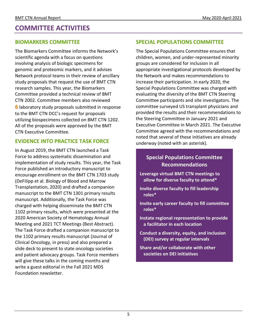### **COMMITTEE ACTIVITIES**

### **BIOMARKERS COMMITTEE**

The Biomarkers Committee informs the Network's scientific agenda with a focus on questions involving analysis of biologic specimens for genomic and proteomic markers, and it advises Network protocol teams in their review of ancillary study proposals that request the use of BMT CTN research samples. This year, the Biomarkers Committee provided a technical review of BMT CTN 2002. Committee members also reviewed **6** laboratory study proposals submitted in response to the BMT CTN DCC's request for proposals utilizing biospecimens collected on BMT CTN 1202. All of the proposals were approved by the BMT CTN Executive Committee.

### **EVIDENCE INTO PRACTICE TASK FORCE**

In August 2019, the BMT CTN launched a Task Force to address systematic dissemination and implementation of study results. This year, the Task Force published an introductory manuscript to encourage enrollment on the BMT CTN 1703 study (DeFilipp et al. Biology of Blood and Marrow Transplantation, 2020) and drafted a companion manuscript to the BMT CTN 1301 primary results manuscript. Additionally, the Task Force was charged with helping disseminate the BMT CTN 1102 primary results, which were presented at the 2020 American Society of Hematology Annual Meeting and 2021 TCT Meetings (Best Abstract). The Task Force drafted a companion manuscript to the 1102 primary results manuscript (Journal of Clinical Oncology, in press) and also prepared a slide deck to present to state oncology societies and patient advocacy groups. Task Force members will give these talks in the coming months and write a guest editorial in the Fall 2021 MDS Foundation newsletter.

### **SPECIAL POPULATIONS COMMITTEE**

The Special Populations Committee ensures that children, women, and under-represented minority groups are considered for inclusion in all appropriate investigational protocols developed by the Network and makes recommendations to increase their participation. In early 2020, the Special Populations Committee was charged with evaluating the diversity of the BMT CTN Steering Committee participants and site investigators. The committee surveyed US transplant physicians and provided the results and their recommendations to the Steering Committee in January 2021 and Executive Committee in March 2021. The Executive Committee agreed with the recommendations and noted that several of these initiatives are already underway (noted with an asterisk).

### **Special Populations Committee Recommendations**

- **Leverage virtual BMT CTN meetings to allow for diverse faculty to attend\***
- **Invite diverse faculty to fill leadership roles\***
- **Invite early career faculty to fill committee roles\***
- **Instate regional representation to provide a facilitator in each location**
- **Conduct a diversity, equity, and inclusion (DEI) survey at regular intervals**
- **Share and/or collaborate with other societies on DEI initiatives**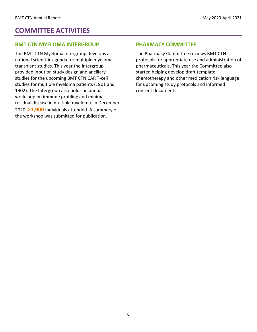### **COMMITTEE ACTIVITIES**

### **BMT CTN MYELOMA INTERGROUP**

The BMT CTN Myeloma Intergroup develops a national scientific agenda for multiple myeloma transplant studies. This year the Intergroup provided input on study design and ancillary studies for the upcoming BMT CTN CAR T-cell studies for multiple myeloma patients (1901 and 1902). The Intergroup also holds an annual workshop on immune profiling and minimal residual disease in multiple myeloma. In December 2020, **>1,900** individuals attended. A summary of the workshop was submitted for publication.

### **PHARMACY COMMITTEE**

The Pharmacy Committee reviews BMT CTN protocols for appropriate use and administration of pharmaceuticals. This year the Committee also started helping develop draft template chemotherapy and other medication risk language for upcoming study protocols and informed consent documents.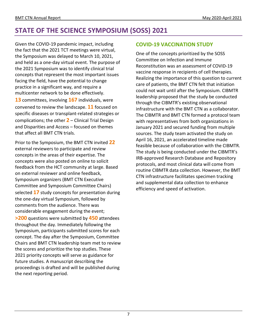### **STATE OF THE SCIENCE SYMPOSIUM (SOSS) 2021**

Given the COVID-19 pandemic impact, including the fact that the 2021 TCT meetings were virtual, the Symposium was delayed to March 10, 2021, and held as a one-day virtual event. The purpose of the 2021 Symposium was to identify clinical trial concepts that represent the most important issues facing the field, have the potential to change practice in a significant way, and require a multicenter network to be done effectively. **13** committees, involving **167** individuals, were convened to review the landscape. **11** focused on specific diseases or transplant-related strategies or complications; the other **2** – Clinical Trial Design and Disparities and Access – focused on themes that affect all BMT CTN trials.

Prior to the Symposium, the BMT CTN invited **22** external reviewers to participate and review concepts in the areas of their expertise. The concepts were also posted on online to solicit feedback from the HCT community at large. Based on external reviewer and online feedback, Symposium organizers (BMT CTN Executive Committee and Symposium Committee Chairs) selected **17** study concepts for presentation during the one-day virtual Symposium, followed by comments from the audience. There was considerable engagement during the event; **>200** questions were submitted by **450** attendees throughout the day. Immediately following the Symposium, participants submitted scores for each concept. The day after the Symposium, Committee Chairs and BMT CTN leadership team met to review the scores and prioritize the top studies. These 2021 priority concepts will serve as guidance for future studies. A manuscript describing the proceedings is drafted and will be published during the next reporting period.

### **COVID-19 VACCINATION STUDY**

One of the concepts prioritized by the SOSS Committee on Infection and Immune Reconstitution was an assessment of COVID-19 vaccine response in recipients of cell therapies. Realizing the importance of this question to current care of patients, the BMT CTN felt that initiation could not wait until after the Symposium. CIBMTR leadership proposed that the study be conducted through the CIBMTR's existing observational infrastructure with the BMT CTN as a collaborator. The CIBMTR and BMT CTN formed a protocol team with representatives from both organizations in January 2021 and secured funding from multiple sources. The study team activated the study on April 16, 2021, an accelerated timeline made feasible because of collaboration with the CIBMTR. The study is being conducted under the CIBMTR's IRB-approved Research Database and Repository protocols, and most clinical data will come from routine CIBMTR data collection. However, the BMT CTN infrastructure facilitates specimen tracking and supplemental data collection to enhance efficiency and speed of activation.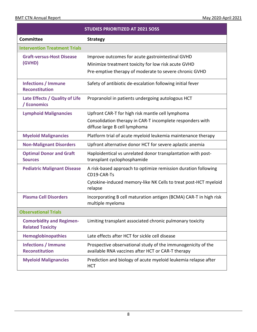٦

|                                                            | <b>STUDIES PRIORITIZED AT 2021 SOSS</b>                                                                                                                           |
|------------------------------------------------------------|-------------------------------------------------------------------------------------------------------------------------------------------------------------------|
| <b>Committee</b>                                           | <b>Strategy</b>                                                                                                                                                   |
| <b>Intervention Treatment Trials</b>                       |                                                                                                                                                                   |
| <b>Graft-versus-Host Disease</b><br>(GVHD)                 | Improve outcomes for acute gastrointestinal GVHD<br>Minimize treatment toxicity for low risk acute GVHD<br>Pre-emptive therapy of moderate to severe chronic GVHD |
| <b>Infections / Immune</b><br><b>Reconstitution</b>        | Safety of antibiotic de-escalation following initial fever                                                                                                        |
| Late Effects / Quality of Life<br>/ Economics              | Propranolol in patients undergoing autologous HCT                                                                                                                 |
| <b>Lymphoid Malignancies</b>                               | Upfront CAR-T for high risk mantle cell lymphoma<br>Consolidation therapy in CAR-T incomplete responders with<br>diffuse large B cell lymphoma                    |
| <b>Myeloid Malignancies</b>                                | Platform trial of acute myeloid leukemia maintenance therapy                                                                                                      |
| <b>Non-Malignant Disorders</b>                             | Upfront alternative donor HCT for severe aplastic anemia                                                                                                          |
| <b>Optimal Donor and Graft</b><br><b>Sources</b>           | Haploidentical vs unrelated donor transplantation with post-<br>transplant cyclophosphamide                                                                       |
| <b>Pediatric Malignant Disease</b>                         | A risk-based approach to optimize remission duration following<br>CD19-CAR-Ts                                                                                     |
|                                                            | Cytokine-induced memory-like NK Cells to treat post-HCT myeloid<br>relapse                                                                                        |
| <b>Plasma Cell Disorders</b>                               | Incorporating B cell maturation antigen (BCMA) CAR-T in high risk<br>multiple myeloma                                                                             |
| <b>Observational Trials</b>                                |                                                                                                                                                                   |
| <b>Comorbidity and Regimen-</b><br><b>Related Toxicity</b> | Limiting transplant associated chronic pulmonary toxicity                                                                                                         |
| <b>Hemoglobinopathies</b>                                  | Late effects after HCT for sickle cell disease                                                                                                                    |
| <b>Infections / Immune</b><br><b>Reconstitution</b>        | Prospective observational study of the immunogenicity of the<br>available RNA vaccines after HCT or CAR-T therapy                                                 |
| <b>Myeloid Malignancies</b>                                | Prediction and biology of acute myeloid leukemia relapse after<br>HCT                                                                                             |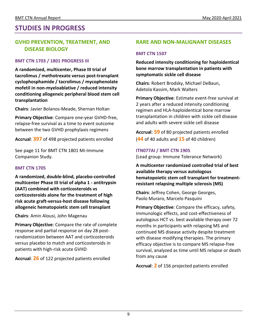### **STUDIES IN PROGRESS**

### **GVHD PREVENTION, TREATMENT, AND DISEASE BIOLOGY**

#### **BMT CTN 1703 / 1801 PROGRESS III**

**A randomized, multicenter, Phase III trial of tacrolimus / methotrexate versus post-transplant cyclophosphamide / tacrolimus / mycophenolate mofetil in non-myeloablative / reduced intensity conditioning allogeneic peripheral blood stem cell transplantation**

**Chairs**: Javier Bolanos-Meade, Shernan Holtan

**Primary Objective**: Compare one-year GVHD-free, relapse-free survival as a time to event outcome between the two GVHD prophylaxis regimens

**Accrual**: **397** of 498 projected patients enrolled

See page 11 for BMT CTN 1801 Mi-Immune Companion Study.

#### **BMT CTN 1705**

**A randomized, double-blind, placebo-controlled multicenter Phase III trial of alpha 1 - antitrypsin (AAT) combined with corticosteroids vs corticosteroids alone for the treatment of high risk acute graft-versus-host disease following allogeneic hematopoietic stem cell transplant**

**Chairs**: Amin Alousi, John Magenau

**Primary Objective**: Compare the rate of complete response and partial response on day 28 postrandomization between AAT and corticosteroids versus placebo to match and corticosteroids in patients with high-risk acute GVHD

**Accrual**: **26** of 122 projected patients enrolled

### **RARE AND NON-MALIGNANT DISEASES**

#### **BMT CTN 1507**

**Reduced intensity conditioning for haploidentical bone marrow transplantation in patients with symptomatic sickle cell disease**

**Chairs**: Robert Brodsky, Michael DeBaun, Adetola Kassim, Mark Walters

**Primary Objective**: Estimate event-free survival at 2 years after a reduced intensity conditioning regimen and HLA-haploidentical bone marrow transplantation in children with sickle cell disease and adults with severe sickle cell disease

**Accrual**: **59** of 80 projected patients enrolled (**44** of 40 adults and **15** of 40 children)

#### **ITN077AI / BMT CTN 1905**

(Lead group: Immune Tolerance Network)

**A multicenter randomized controlled trial of best available therapy versus autologous hematopoietic stem cell transplant for treatmentresistant relapsing multiple sclerosis (MS)**

**Chairs**: Jeffrey Cohen, George Georges, Paolo Muraro, Marcelo Pasquini

**Primary Objective**: Compare the efficacy, safety, immunologic effects, and cost-effectiveness of autologous HCT vs. best available therapy over 72 months in participants with relapsing MS and continued MS disease activity despite treatment with disease modifying therapies. The primary efficacy objective is to compare MS relapse-free survival, analyzed as time until MS relapse or death from any cause

**Accrual**: **2** of 156 projected patients enrolled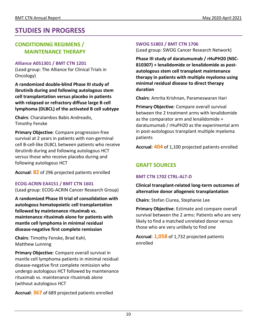### **STUDIES IN PROGRESS**

### **CONDITIONING REGIMENS / MAINTENANCE THERAPY**

#### **Alliance A051301 / BMT CTN 1201**

(Lead group: The Alliance for Clinical Trials in Oncology)

**A randomized double-blind Phase III study of ibrutinib during and following autologous stem cell transplantation versus placebo in patients with relapsed or refractory diffuse large B cell lymphoma (DLBCL) of the activated B cell subtype**

**Chairs**: Charalambos Babis Andreadis, Timothy Fenske

**Primary Objective**: Compare progression-free survival at 2 years in patients with non-germinal cell B-cell-like DLBCL between patients who receive ibrutinib during and following autologous HCT versus those who receive placebo during and following autologous HCT

**Accrual**: **82** of 296 projected patients enrolled

### **ECOG-ACRIN EA4151 / BMT CTN 1601**

(Lead group: ECOG-ACRIN Cancer Research Group)

**A randomized Phase III trial of consolidation with autologous hematopoietic cell transplantation followed by maintenance rituximab vs. maintenance rituximab alone for patients with mantle cell lymphoma in minimal residual disease-negative first complete remission**

**Chairs**: Timothy Fenske, Brad Kahl, Matthew Lunning

**Primary Objective**: Compare overall survival in mantle cell lymphoma patients in minimal residual disease-negative first complete remission who undergo autologous HCT followed by maintenance rituximab vs. maintenance rituximab alone (without autologous HCT

**Accrual**: **367** of 689 projected patients enrolled

#### **SWOG S1803 / BMT CTN 1706**

(Lead group: SWOG Cancer Research Network)

**Phase III study of daratumumab / rHuPH20 (NSC-810307) + lenalidomide or lenalidomide as postautologous stem cell transplant maintenance therapy in patients with multiple myeloma using minimal residual disease to direct therapy duration**

**Chairs**: Amrita Krishnan, Parameswaran Hari

**Primary Objective**: Compare overall survival between the 2 treatment arms with lenalidomide as the comparator arm and lenalidomide + daratumumab / rHuPH20 as the experimental arm in post-autologous transplant multiple myeloma patients

**Accrual**: **404** of 1,100 projected patients enrolled

### **GRAFT SOURCES**

### **BMT CTN 1702 CTRL-ALT-D**

**Clinical transplant-related long-term outcomes of alternative donor allogeneic transplantation**

**Chairs**: Stefan Ciurea, Stephanie Lee

**Primary Objective**: Estimate and compare overall survival between the 2 arms: Patients who are very likely to find a matched unrelated donor versus those who are very unlikely to find one

**Accrual**: **1,058** of 1,732 projected patients enrolled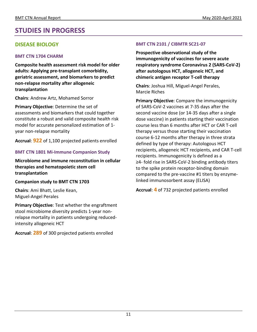### **STUDIES IN PROGRESS**

### **DISEASE BIOLOGY**

#### **BMT CTN 1704 CHARM**

**Composite health assessment risk model for older adults: Applying pre-transplant comorbidity, geriatric assessment, and biomarkers to predict non-relapse mortality after allogeneic transplantation**

**Chairs**: Andrew Artz, Mohamed Sorror

**Primary Objective**: Determine the set of assessments and biomarkers that could together constitute a robust and valid composite health risk model for accurate personalized estimation of 1 year non-relapse mortality

**Accrual**: **922** of 1,100 projected patients enrolled

### **BMT CTN 1801 Mi-Immune Companion Study**

**Microbiome and immune reconstitution in cellular therapies and hematopoietic stem cell transplantation**

#### **Companion study to BMT CTN 1703**

**Chairs**: Ami Bhatt, Leslie Kean, Miguel-Angel Perales

**Primary Objective**: Test whether the engraftment stool microbiome diversity predicts 1-year nonrelapse mortality in patients undergoing reducedintensity allogeneic HCT

**Accrual**: **289** of 300 projected patients enrolled

### **BMT CTN 2101 / CIBMTR SC21-07**

**Prospective observational study of the immunogenicity of vaccines for severe acute respiratory syndrome Coronavirus 2 (SARS-CoV-2) after autologous HCT, allogeneic HCT, and chimeric antigen receptor T-cell therapy**

**Chairs**: Joshua Hill, Miguel-Angel Perales, Marcie Riches

**Primary Objective**: Compare the immunogenicity of SARS-CoV-2 vaccines at 7-35 days after the second vaccine dose (or 14-35 days after a single dose vaccine) in patients starting their vaccination course less than 6 months after HCT or CAR T-cell therapy versus those starting their vaccination course 6-12 months after therapy in three strata defined by type of therapy: Autologous HCT recipients, allogeneic HCT recipients, and CAR T-cell recipients. Immunogenicity is defined as a ≥4- fold rise in SARS-CoV-2 binding antibody titers to the spike protein receptor-binding domain compared to the pre-vaccine #1 titers by enzymelinked immunosorbent assay (ELISA)

**Accrual**: **4** of 732 projected patients enrolled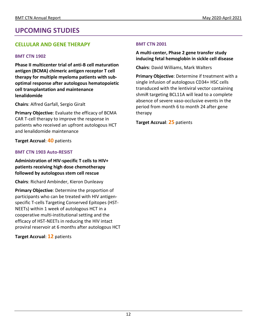### **UPCOMING STUDIES**

### **CELLULAR AND GENE THERAPY**

### **BMT CTN 1902**

**Phase II multicenter trial of anti-B cell maturation antigen (BCMA) chimeric antigen receptor T cell therapy for multiple myeloma patients with suboptimal response after autologous hematopoietic cell transplantation and maintenance lenalidomide**

**Chairs**: Alfred Garfall, Sergio Giralt

**Primary Objective**: Evaluate the efficacy of BCMA CAR T-cell therapy to improve the response in patients who received an upfront autologous HCT and lenalidomide maintenance

**Target Accrual**: **40** patients

### **BMT CTN 1903 Auto-RESIST**

**Administration of HIV-specific T cells to HIV+ patients receiving high dose chemotherapy followed by autologous stem cell rescue**

**Chairs**: Richard Ambinder, Kieron Dunleavy

**Primary Objective**: Determine the proportion of participants who can be treated with HIV antigenspecific T-cells Targeting Conserved Epitopes (HST-NEETs) within 1 week of autologous HCT in a cooperative multi-institutional setting and the efficacy of HST-NEETs in reducing the HIV intact proviral reservoir at 6 months after autologous HCT

**Target Accrual**: **12** patients

#### **BMT CTN 2001**

### **A multi-center, Phase 2 gene transfer study inducing fetal hemoglobin in sickle cell disease**

**Chairs**: David Williams, Mark Walters

**Primary Objective**: Determine if treatment with a single infusion of autologous CD34+ HSC cells transduced with the lentiviral vector containing shmiR targeting BCL11A will lead to a complete absence of severe vaso-occlusive events in the period from month 6 to month 24 after gene therapy

**Target Accrual**: **25** patients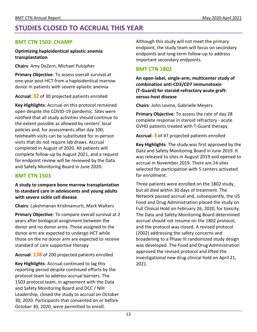### **STUDIES CLOSED TO ACCRUAL THIS YEAR**

### **BMT CTN 1502: CHAMP**

#### **Optimizing haploidentical aplastic anemia transplantation**

**Chairs**: Amy DeZern, Michael Pulsipher

**Primary Objective**: To assess overall survival at one-year post-HCT from a haploidentical marrow donor in patients with severe aplastic anemia

**Accrual**: **32** of 30 projected patients enrolled

**Key Highlights**: Accrual on this protocol remained open despite the COVID-19 pandemic. Sites were notified that all study activities should continue to the extent possible as allowed by centers' local policies and, for assessments after day 100, telehealth visits can be substituted for in-person visits that do not require lab draws. Accrual completed in August of 2020. All patients will complete follow-up by August 2021, and a request for endpoint review will be reviewed by the Data and Safety Monitoring Board in June 2020.

### **BMT CTN 1503**

**A study to compare bone marrow transplantation to standard care in adolescents and young adults with severe sickle cell disease**

**Chairs**: Lakshmanan Krishnamurti, Mark Walters

**Primary Objective**: To compare overall survival at 2 years after biological assignment between the donor and no donor arms. Those assigned to the donor arm are expected to undergo HCT while those on the no donor arm are expected to receive standard of care supportive therapy

**Accrual**: **138** of 200 projected patients enrolled

**Key Highlights**: Accrual continued to lag this reporting period despite continued efforts by the protocol team to address accrual barriers. The 1503 protocol team, in agreement with the Data and Safety Monitoring Board and DCC / NIH Leadership, closed the study to accrual on October 30, 2020. Participants that consented on or before October 30, 2020, were permitted to enroll.

Although this study will not meet the primary endpoint, the study team will focus on secondary endpoints and long-term follow-up to address important secondary endpoints.

### **BMT CTN 1802**

**An open-label, single-arm, multicenter study of combination anti-CD3/CD7 immunotoxin (T-Guard) for steroid-refractory acute graftversus-host disease**

**Chairs**: John Levine, Gabrielle Meyers

**Primary Objective**: To assess the rate of day 28 complete response in steroid refractory - acute GVHD patients treated with T-Guard therapy

**Accrual**: **3** of 47 projected patients enrolled

**Key Highlights**: The study was first approved by the Data and Safety Monitoring Board in June 2019. It was released to sites in August 2019 and opened to accrual in November 2019. There are 24 sites selected for participation with 5 centers activated for enrollment.

Three patients were enrolled on the 1802 study, but all died within 30 days of treatment. The Network paused accrual and, subsequently, the US Food and Drug Administration placed the study on Full Clinical Hold on February 26, 2020, for toxicity. The Data and Safety Monitoring Board determined accrual should not resume on the 1802 protocol, and the protocol was closed. A revised protocol (2002) addressing the safety concerns and broadening to a Phase III randomized study design was developed. The Food and Drug Administration approved the revised protocol and lifted the investigational new drug clinical hold on April 21, 2021.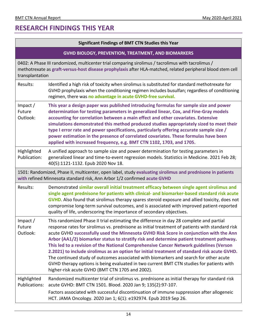### **RESEARCH FINDINGS THIS YEAR**

| <b>Significant Findings of BMT CTN Studies this Year</b>                                                                                                                                                                             |                                                                                                                                                                                                                                                                                                                                                                                                                                                                                                                                                                                                                                                                                                                                                                                                                    |  |
|--------------------------------------------------------------------------------------------------------------------------------------------------------------------------------------------------------------------------------------|--------------------------------------------------------------------------------------------------------------------------------------------------------------------------------------------------------------------------------------------------------------------------------------------------------------------------------------------------------------------------------------------------------------------------------------------------------------------------------------------------------------------------------------------------------------------------------------------------------------------------------------------------------------------------------------------------------------------------------------------------------------------------------------------------------------------|--|
| <b>GVHD BIOLOGY, PREVENTION, TREATMENT, AND BIOMARKERS</b>                                                                                                                                                                           |                                                                                                                                                                                                                                                                                                                                                                                                                                                                                                                                                                                                                                                                                                                                                                                                                    |  |
| 0402: A Phase III randomized, multicenter trial comparing sirolimus / tacrolimus with tacrolimus /<br>methotrexate as graft-versus-host disease prophylaxis after HLA-matched, related peripheral blood stem cell<br>transplantation |                                                                                                                                                                                                                                                                                                                                                                                                                                                                                                                                                                                                                                                                                                                                                                                                                    |  |
| Results:                                                                                                                                                                                                                             | Identified a high risk of toxicity when sirolimus is substituted for standard methotrexate for<br>GVHD prophylaxis when the conditioning regimen includes busulfan; regardless of conditioning<br>regimen, there was no advantage in acute GVHD-free survival.                                                                                                                                                                                                                                                                                                                                                                                                                                                                                                                                                     |  |
| Impact /<br>Future<br>Outlook:                                                                                                                                                                                                       | This year a design paper was published introducing formulas for sample size and power<br>determination for testing parameters in generalized linear, Cox, and Fine-Gray models<br>accounting for correlation between a main effect and other covariates. Extensive<br>simulations demonstrated this method produced studies appropriately sized to meet their<br>type I error rate and power specifications, particularly offering accurate sample size /<br>power estimation in the presence of correlated covariates. These formulas have been<br>applied with increased frequency, e.g. BMT CTN 1102, 1703, and 1705.                                                                                                                                                                                           |  |
| Highlighted<br>Publication:                                                                                                                                                                                                          | A unified approach to sample size and power determination for testing parameters in<br>generalized linear and time-to-event regression models. Statistics in Medicine. 2021 Feb 28;<br>40(5):1121-1132. Epub 2020 Nov 18.                                                                                                                                                                                                                                                                                                                                                                                                                                                                                                                                                                                          |  |
| 1501: Randomized, Phase II, multicenter, open label, study evaluating sirolimus and prednisone in patients<br>with refined Minnesota standard risk, Ann Arbor 1/2 confirmed acute GVHD                                               |                                                                                                                                                                                                                                                                                                                                                                                                                                                                                                                                                                                                                                                                                                                                                                                                                    |  |
| Results:                                                                                                                                                                                                                             | Demonstrated similar overall initial treatment efficacy between single agent sirolimus and<br>single agent prednisone for patients with clinical- and biomarker-based standard risk acute<br><b>GVHD.</b> Also found that sirolimus therapy spares steroid exposure and allied toxicity, does not<br>compromise long-term survival outcomes, and is associated with improved patient-reported<br>quality of life, underscoring the importance of secondary objectives.                                                                                                                                                                                                                                                                                                                                             |  |
| Impact $/$<br>Future<br>Outlook:                                                                                                                                                                                                     | This randomized Phase II trial estimating the difference in day 28 complete and partial<br>response rates for sirolimus vs. prednisone as initial treatment of patients with standard risk<br>acute GVHD successfully used the Minnesota GVHD Risk Score in conjunction with the Ann<br>Arbor (AA1/2) biomarker status to stratify risk and determine patient treatment pathway.<br>This led to a revision of the National Comprehensive Cancer Network guidelines (Verson<br>2.2021) to include sirolimus as an option for initial treatment of standard risk acute GVHD.<br>The continued study of outcomes associated with biomarkers and search for other acute<br>GVHD therapy options is being evaluated in two current BMT CTN studies for patients with<br>higher-risk acute GVHD (BMT CTN 1705 and 2002). |  |
| Highlighted<br>Publications:                                                                                                                                                                                                         | Randomized multicenter trial of sirolimus vs. prednisone as initial therapy for standard risk<br>acute GVHD: BMT CTN 1501. Blood. 2020 Jan 9; 135(2):97-107.<br>Factors associated with successful discontinuation of immune suppression after allogeneic<br>HCT. JAMA Oncology. 2020 Jan 1; 6(1): e192974. Epub 2019 Sep 26.                                                                                                                                                                                                                                                                                                                                                                                                                                                                                      |  |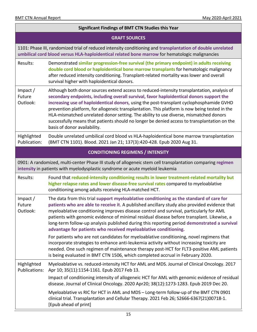| <b>Significant Findings of BMT CTN Studies this Year</b>                                                                                                                                    |                                                                                                                                                                                                                                                                                                                                                                                                                                                                                                                                                                                                               |  |
|---------------------------------------------------------------------------------------------------------------------------------------------------------------------------------------------|---------------------------------------------------------------------------------------------------------------------------------------------------------------------------------------------------------------------------------------------------------------------------------------------------------------------------------------------------------------------------------------------------------------------------------------------------------------------------------------------------------------------------------------------------------------------------------------------------------------|--|
| <b>GRAFT SOURCES</b>                                                                                                                                                                        |                                                                                                                                                                                                                                                                                                                                                                                                                                                                                                                                                                                                               |  |
|                                                                                                                                                                                             | 1101: Phase III, randomized trial of reduced intensity conditioning and transplantation of double unrelated<br>umbilical cord blood versus HLA-haploidentical related bone marrow for hematologic malignancies                                                                                                                                                                                                                                                                                                                                                                                                |  |
| Results:                                                                                                                                                                                    | Demonstrated similar progression-free survival (the primary endpoint) in adults receiving<br>double cord blood or haploidentical bone marrow transplants for hematologic malignancy<br>after reduced intensity conditioning. Transplant-related mortality was lower and overall<br>survival higher with haploidentical donors.                                                                                                                                                                                                                                                                                |  |
| Impact $/$<br>Future<br>Outlook:                                                                                                                                                            | Although both donor sources extend access to reduced-intensity transplantation, analysis of<br>secondary endpoints, including overall survival, favor haploidentical donors support the<br>increasing use of haploidentical donors, using the post-transplant cyclophosphamide GVHD<br>prevention platform, for allogeneic transplantation. This platform is now being tested in the<br>HLA-mismatched unrelated donor setting. The ability to use diverse, mismatched donors<br>successfully means that patients should no longer be denied access to transplantation on the<br>basis of donor availability. |  |
| Highlighted<br>Publication:                                                                                                                                                                 | Double unrelated umbilical cord blood vs HLA-haploidentical bone marrow transplantation<br>(BMT CTN 1101). Blood. 2021 Jan 21; 137(3):420-428. Epub 2020 Aug 31.                                                                                                                                                                                                                                                                                                                                                                                                                                              |  |
|                                                                                                                                                                                             | <b>CONDITIONING REGIMENS / INTENSITY</b>                                                                                                                                                                                                                                                                                                                                                                                                                                                                                                                                                                      |  |
| 0901: A randomized, multi-center Phase III study of allogeneic stem cell transplantation comparing regimen<br>intensity in patients with myelodysplastic syndrome or acute myeloid leukemia |                                                                                                                                                                                                                                                                                                                                                                                                                                                                                                                                                                                                               |  |
| Results:                                                                                                                                                                                    | Found that reduced-intensity conditioning results in lower treatment-related mortality but<br>higher relapse rates and lower disease-free survival rates compared to myeloablative<br>conditioning among adults receiving HLA-matched HCT.                                                                                                                                                                                                                                                                                                                                                                    |  |
| Impact $/$<br>Future<br>Outlook:                                                                                                                                                            | The data from this trial support myeloablative conditioning as the standard of care for<br>patients who are able to receive it. A published ancillary study also provided evidence that<br>myeloablative conditioning improves disease control and survival, particularly for AML<br>patients with genomic evidence of minimal residual disease before transplant. Likewise, a<br>long-term follow-up analysis published during this reporting period demonstrated a survival<br>advantage for patients who received myeloablative conditioning.                                                              |  |
|                                                                                                                                                                                             | For patients who are not candidates for myeloablative conditioning, novel regimens that<br>incorporate strategies to enhance anti-leukemia activity without increasing toxicity are<br>needed. One such regimen of maintenance therapy post-HCT for FLT3-positive AML patients<br>is being evaluated in BMT CTN 1506, which completed accrual in February 2020.                                                                                                                                                                                                                                               |  |
| Highlighted<br><b>Publications:</b>                                                                                                                                                         | Myeloablative vs. reduced-intensity HCT for AML and MDS. Journal of Clinical Oncology. 2017<br>Apr 10; 35(11):1154-1161. Epub 2017 Feb 13.                                                                                                                                                                                                                                                                                                                                                                                                                                                                    |  |
|                                                                                                                                                                                             | Impact of conditioning intensity of allogeneic HCT for AML with genomic evidence of residual<br>disease. Journal of Clinical Oncology. 2020 Apr20; 38(12):1273-1283. Epub 2019 Dec 20.                                                                                                                                                                                                                                                                                                                                                                                                                        |  |
|                                                                                                                                                                                             | Myeloablative vs RIC for HCT in AML and MDS - Long-term follow-up of the BMT CTN 0901<br>clinical trial. Transplantation and Cellular Therapy. 2021 Feb 26; S2666-6367(21)00718-1.<br>[Epub ahead of print]                                                                                                                                                                                                                                                                                                                                                                                                   |  |